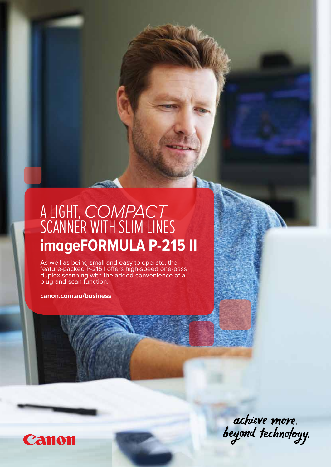# A LIGHT, *COMPACT*  SCANNER WITH SLIM LINES **imageFORMULA P-215 II**

As well as being small and easy to operate, the feature-packed P-215II offers high-speed one-pass duplex scanning with the added convenience of a plug-and-scan function.

**canon.com.au/business**



achieve more.<br>beyond technology.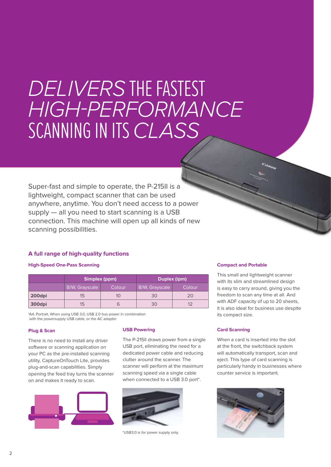# *DELIVERS* THE FASTEST *HIGH-PERFORMANCE* SCANNING IN ITS *CLASS*

Super-fast and simple to operate, the P-215II is a lightweight, compact scanner that can be used anywhere, anytime. You don't need access to a power supply — all you need to start scanning is a USB connection. This machine will open up all kinds of new scanning possibilities.

#### **A full range of high-quality functions**

#### **High-Speed One-Pass Scanning**

|        | Simplex (ppm)  |               | Duplex (ipm)          |               |
|--------|----------------|---------------|-----------------------|---------------|
|        | B/W, Grayscale | <b>Colour</b> | <b>B/W, Grayscale</b> | <b>Colour</b> |
| 200dpi | 15             |               | 30                    |               |
| 300dpi | 15             |               | 30                    |               |

\*A4, Portrait, When using USB 3.0, USB 2.0 bus power in combination with the powersupply USB cable, or the AC adapter

#### **Plug & Scan**

There is no need to install any driver software or scanning application on your PC as the pre-installed scanning utility, CaptureOnTouch Lite, provides plug-and-scan capabilities. Simply opening the feed tray turns the scanner on and makes it ready to scan.



#### **USB Powering**

The P-215ll draws power from a single USB port, eliminating the need for a dedicated power cable and reducing clutter around the scanner. The scanner will perform at the maximum scanning speed via a single cable when connected to a USB 3.0 port\*.



\*USB3.0 is for power supply only.

#### **Compact and Portable**

This small and lightweight scanner with its slim and streamlined design is easy to carry around, giving you the freedom to scan any time at all. And with ADF capacity of up to 20 sheets, it is also ideal for business use despite its compact size.

#### **Card Scanning**

When a card is inserted into the slot at the front, the switchback system will automatically transport, scan and eject. This type of card scanning is particularly handy in businesses where counter service is important.

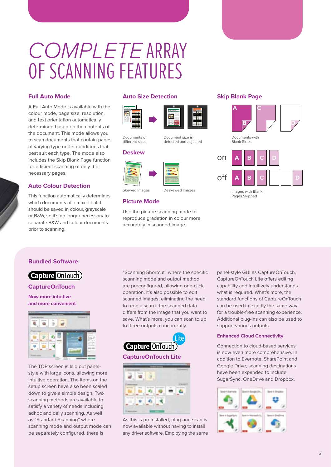# *Complete* array OF SCANNING FEATURES

#### **Full Auto Mode**

A Full Auto Mode is available with the colour mode, page size, resolution, and text orientation automatically determined based on the contents of the document. This mode allows you to scan documents that contain pages of varying type under conditions that best suit each type. The mode also includes the Skip Blank Page function for efficient scanning of only the necessary pages.

#### **Auto Colour Detection**

This function automatically determines which documents of a mixed batch should be saved in colour, grayscale or B&W, so it's no longer necessary to separate B&W and colour documents prior to scanning.

#### **Auto Size Detection Skip Blank Page**





Documents of different sizes

Document size is detected and adjusted

#### **Deskew**



Skewed Images Deskewed Images

#### **Picture Mode**

Use the picture scanning mode to reproduce gradation in colour more accurately in scanned image.



Blank Sides



Pages Skipped

#### **Bundled Software**



**CaptureOnTouch**

**Now more intuitive and more convenient**



The TOP screen is laid out panelstyle with large icons, allowing more intuitive operation. The items on the setup screen have also been scaled down to give a simple design. Two scanning methods are available to satisfy a variety of needs including adhoc and daily scanning. As well as "Standard Scanning" where scanning mode and output mode can be separately configured, there is

"Scanning Shortcut" where the specific scanning mode and output method are preconfigured, allowing one-click operation. It's also possible to edit scanned images, eliminating the need to redo a scan if the scanned data differs from the image that you want to save. What's more, you can scan to up to three outputs concurrently.





As this is preinstalled, plug-and-scan is now available without having to install any driver software. Employing the same

panel-style GUI as CaptureOnTouch, CaptureOnTouch Lite offers editing capability and intuitively understands what is required. What's more, the standard functions of CaptureOnTouch can be used in exactly the same way for a trouble-free scanning experience. Additional plug-ins can also be used to support various outputs.

#### **Enhanced Cloud Connectivity**

Connection to cloud-based services is now even more comprehensive. In addition to Evernote, SharePoint and Google Drive, scanning destinations have been expanded to include SugarSync, OneDrive and Dropbox.